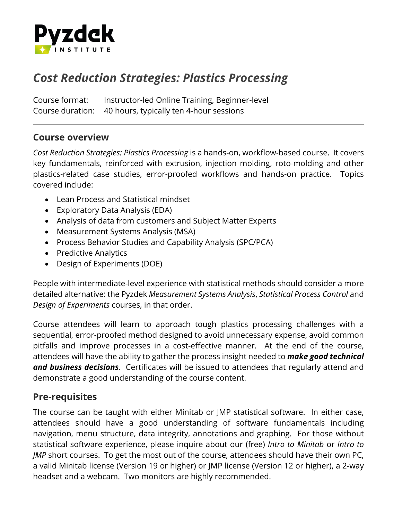

# *Cost Reduction Strategies: Plastics Processing*

Course format: Instructor-led Online Training, Beginner-level Course duration: 40 hours, typically ten 4-hour sessions

#### **Course overview**

*Cost Reduction Strategies: Plastics Processing* is a hands-on, workflow-based course. It covers key fundamentals, reinforced with extrusion, injection molding, roto-molding and other plastics-related case studies, error-proofed workflows and hands-on practice. Topics covered include:

- Lean Process and Statistical mindset
- Exploratory Data Analysis (EDA)
- Analysis of data from customers and Subject Matter Experts
- Measurement Systems Analysis (MSA)
- Process Behavior Studies and Capability Analysis (SPC/PCA)
- Predictive Analytics
- Design of Experiments (DOE)

People with intermediate-level experience with statistical methods should consider a more detailed alternative: the Pyzdek *Measurement Systems Analysis*, *Statistical Process Control* and *Design of Experiments* courses, in that order.

Course attendees will learn to approach tough plastics processing challenges with a sequential, error-proofed method designed to avoid unnecessary expense, avoid common pitfalls and improve processes in a cost-effective manner. At the end of the course, attendees will have the ability to gather the process insight needed to *make good technical and business decisions*. Certificates will be issued to attendees that regularly attend and demonstrate a good understanding of the course content.

### **Pre-requisites**

The course can be taught with either Minitab or JMP statistical software. In either case, attendees should have a good understanding of software fundamentals including navigation, menu structure, data integrity, annotations and graphing. For those without statistical software experience, please inquire about our (free) *Intro to Minitab* or *Intro to JMP* short courses. To get the most out of the course, attendees should have their own PC, a valid Minitab license (Version 19 or higher) or JMP license (Version 12 or higher), a 2-way headset and a webcam. Two monitors are highly recommended.